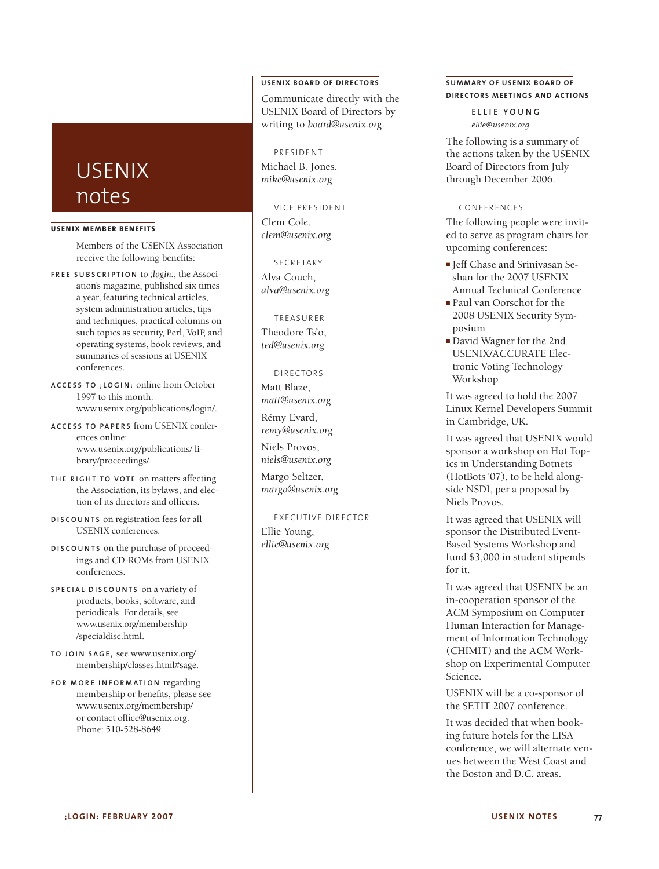# **USENIX BOARD OF DIRECTORS**

Communicate directly with the USENIX Board of Directors by writing to *board@usenix.org*.

# PRESIDENT

Michael B. Jones, *mike@usenix.org*

# VICE PRESIDENT

Clem Cole, *clem@usenix.org*

## **SECRETARY**

Alva Couch, *alva@usenix.org*

#### TREASURER

Theodore Ts'o, *ted@usenix.org*

#### DIRECTORS

Matt Blaze, *matt@usenix.org*

Rémy Evard, *remy@usenix.org*

Niels Provos, *niels@usenix.org*

Margo Seltzer, *margo@usenix.org*

# EXECUTIVE DIRECTOR

Ellie Young, *ellie@usenix.org*

# **SUMMARY OF USENIX BOARD OF DIRECTORS MEETINGS AND ACTIONS**

**E L L I E Y O U N G** *ellie@usenix.org*

The following is a summary of the actions taken by the USENIX Board of Directors from July through December 2006.

#### CONFERENCES

The following people were invited to serve as program chairs for upcoming conferences:

- Jeff Chase and Srinivasan Seshan for the 2007 USENIX Annual Technical Conference
- Paul van Oorschot for the 2008 USENIX Security Symposium
- David Wagner for the 2nd USENIX/ACCURATE Electronic Voting Technology Workshop

It was agreed to hold the 2007 Linux Kernel Developers Summit in Cambridge, UK.

It was agreed that USENIX would sponsor a workshop on Hot Topics in Understanding Botnets (HotBots '07), to be held alongside NSDI, per a proposal by Niels Provos.

It was agreed that USENIX will sponsor the Distributed Event-Based Systems Workshop and fund \$3,000 in student stipends for it.

It was agreed that USENIX be an in-cooperation sponsor of the ACM Symposium on Computer Human Interaction for Management of Information Technology (CHIMIT) and the ACM Workshop on Experimental Computer Science.

USENIX will be a co-sponsor of the SETIT 2007 conference.

It was decided that when booking future hotels for the LISA conference, we will alternate venues between the West Coast and the Boston and D.C. areas.

# USENIX notes

#### **USENIX MEMBER BENEF ITS**

Members of the USENIX Association receive the following benefits:

- **F R E E S U B S C R I P T I O N** to *;login:*, the Association's magazine, published six times a year, featuring technical articles, system administration articles, tips and techniques, practical columns on such topics as security, Perl, VoIP, and operating systems, book reviews, and summaries of sessions at USENIX conferences.
- **A C C E S S T O ; L O G I N :** online from October 1997 to this month: www.usenix.org/publications/login/.
- **A C C E S S T O PA P E R S** from USENIX conferences online: www.usenix.org/publications/ library/proceedings/
- **TH E R I G H T T O V O T E** on matters affecting the Association, its bylaws, and election of its directors and officers.
- **D I S C O U N T S** on registration fees for all USENIX conferences.
- **D I S C O U N T S** on the purchase of proceedings and CD-ROMs from USENIX conferences.
- **S P E C I A L D I S C O U N T S** on a variety of products, books, software, and periodicals. For details, see www.usenix.org/membership /specialdisc.html.
- **T O J O I N S AG E ,** see www.usenix.org/ membership/classes.html#sage.
- **F O R M O R E I N F O R M AT I O N** regarding membership or benefits, please see www.usenix.org/membership/ or contact office@usenix.org. Phone: 510-528-8649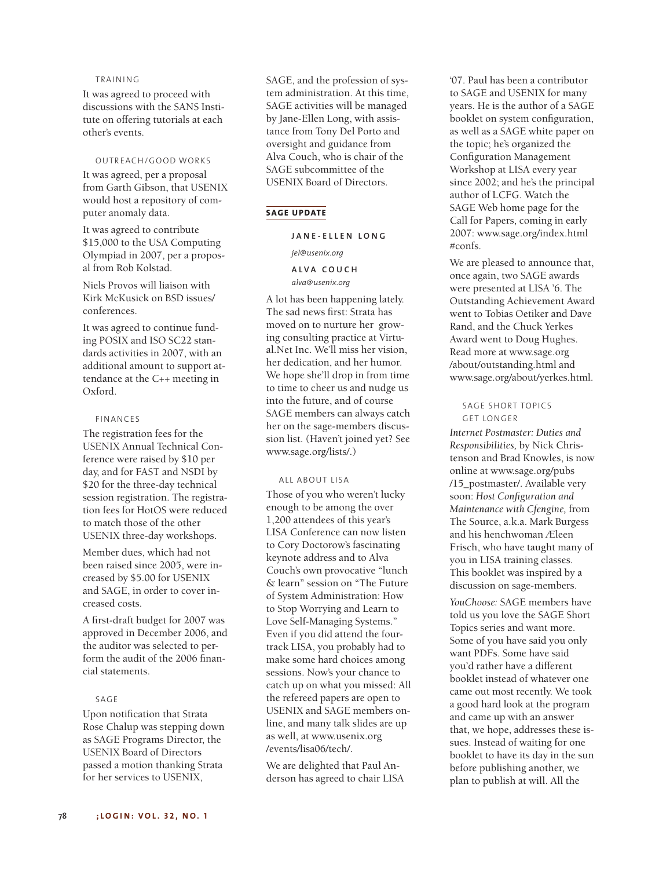### TRAINING

It was agreed to proceed with discussions with the SANS Institute on offering tutorials at each other's events.

## OUTREACH/GOOD WORKS

It was agreed, per a proposal from Garth Gibson, that USENIX would host a repository of computer anomaly data.

It was agreed to contribute \$15,000 to the USA Computing Olympiad in 2007, per a proposal from Rob Kolstad.

Niels Provos will liaison with Kirk McKusick on BSD issues/ conferences.

It was agreed to continue funding POSIX and ISO SC22 standards activities in 2007, with an additional amount to support attendance at the C++ meeting in Oxford.

#### FINANCES

The registration fees for the USENIX Annual Technical Conference were raised by \$10 per day, and for FAST and NSDI by \$20 for the three-day technical session registration. The registration fees for HotOS were reduced to match those of the other USENIX three-day workshops.

Member dues, which had not been raised since 2005, were increased by \$5.00 for USENIX and SAGE, in order to cover increased costs.

A first-draft budget for 2007 was approved in December 2006, and the auditor was selected to perform the audit of the 2006 financial statements.

#### SAGE

Upon notification that Strata Rose Chalup was stepping down as SAGE Programs Director, the USENIX Board of Directors passed a motion thanking Strata for her services to USENIX,

SAGE, and the profession of system administration. At this time, SAGE activities will be managed by Jane-Ellen Long, with assistance from Tony Del Porto and oversight and guidance from Alva Couch, who is chair of the SAGE subcommittee of the USENIX Board of Directors.

### **SAGE UPDATE**

## **J A N E - E L L E N L O N G**

*jel@usenix.org*

## **A L V A C O U C H** *alva@usenix.org*

A lot has been happening lately. The sad news first: Strata has moved on to nurture her growing consulting practice at Virtual.Net Inc. We'll miss her vision, her dedication, and her humor. We hope she'll drop in from time to time to cheer us and nudge us into the future, and of course SAGE members can always catch her on the sage-members discussion list. (Haven't joined yet? See www.sage.org/lists/.)

# ALL ABOUT LISA

Those of you who weren't lucky enough to be among the over 1,200 attendees of this year's LISA Conference can now listen to Cory Doctorow's fascinating keynote address and to Alva Couch's own provocative "lunch & learn" session on "The Future of System Administration: How to Stop Worrying and Learn to Love Self-Managing Systems." Even if you did attend the fourtrack LISA, you probably had to make some hard choices among sessions. Now's your chance to catch up on what you missed: All the refereed papers are open to USENIX and SAGE members online, and many talk slides are up as well, at www.usenix.org /events/lisa06/tech/.

We are delighted that Paul Anderson has agreed to chair LISA

'07. Paul has been a contributor to SAGE and USENIX for many years. He is the author of a SAGE booklet on system configuration, as well as a SAGE white paper on the topic; he's organized the Configuration Management Workshop at LISA every year since 2002; and he's the principal author of LCFG. Watch the SAGE Web home page for the Call for Papers, coming in early 2007: www.sage.org/index.html #confs.

We are pleased to announce that, once again, two SAGE awards were presented at LISA '6. The Outstanding Achievement Award went to Tobias Oetiker and Dave Rand, and the Chuck Yerkes Award went to Doug Hughes. Read more at www.sage.org /about/outstanding.html and www.sage.org/about/yerkes.html.

## SAGE SHORT TOPICS GET LONGER

*Internet Postmaster: Duties and Responsibilities,* by Nick Christenson and Brad Knowles, is now online at www.sage.org/pubs /15\_postmaster/. Available very soon: *Host Configuration and Maintenance with Cfengine,* from The Source, a.k.a. Mark Burgess and his henchwoman Æleen Frisch, who have taught many of you in LISA training classes. This booklet was inspired by a discussion on sage-members.

*YouChoose:* SAGE members have told us you love the SAGE Short Topics series and want more. Some of you have said you only want PDFs. Some have said you'd rather have a different booklet instead of whatever one came out most recently. We took a good hard look at the program and came up with an answer that, we hope, addresses these issues. Instead of waiting for one booklet to have its day in the sun before publishing another, we plan to publish at will. All the